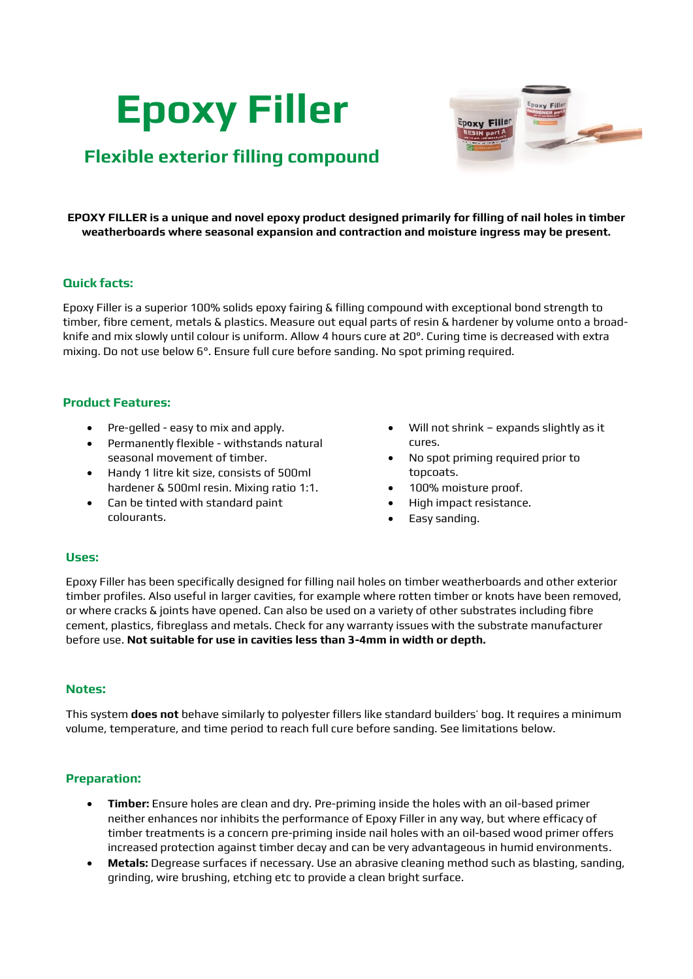# **Epoxy Filler**



# **Flexible exterior filling compound**

**EPOXY FILLER is a unique and novel epoxy product designed primarily for filling of nail holes in timber weatherboards where seasonal expansion and contraction and moisture ingress may be present.**

# **Quick facts:**

Epoxy Filler is a superior 100% solids epoxy fairing & filling compound with exceptional bond strength to timber, fibre cement, metals & plastics. Measure out equal parts of resin & hardener by volume onto a broadknife and mix slowly until colour is uniform. Allow 4 hours cure at 20°. Curing time is decreased with extra mixing. Do not use below 6°. Ensure full cure before sanding. No spot priming required.

## **Product Features:**

- Pre-gelled easy to mix and apply.
- Permanently flexible withstands natural seasonal movement of timber.
- Handy 1 litre kit size, consists of 500ml hardener & 500ml resin. Mixing ratio 1:1.
- Can be tinted with standard paint colourants.
- Will not shrink expands slightly as it cures.
- No spot priming required prior to topcoats.
- 100% moisture proof.
- High impact resistance.
- Easy sanding.

## **Uses:**

Epoxy Filler has been specifically designed for filling nail holes on timber weatherboards and other exterior timber profiles. Also useful in larger cavities, for example where rotten timber or knots have been removed, or where cracks & joints have opened. Can also be used on a variety of other substrates including fibre cement, plastics, fibreglass and metals. Check for any warranty issues with the substrate manufacturer before use. **Not suitable for use in cavities less than 3-4mm in width or depth.**

## **Notes:**

This system **does not** behave similarly to polyester fillers like standard builders' bog. It requires a minimum volume, temperature, and time period to reach full cure before sanding. See limitations below.

# **Preparation:**

- **Timber:** Ensure holes are clean and dry. Pre-priming inside the holes with an oil-based primer neither enhances nor inhibits the performance of Epoxy Filler in any way, but where efficacy of timber treatments is a concern pre-priming inside nail holes with an oil-based wood primer offers increased protection against timber decay and can be very advantageous in humid environments.
- **Metals:** Degrease surfaces if necessary. Use an abrasive cleaning method such as blasting, sanding, grinding, wire brushing, etching etc to provide a clean bright surface.